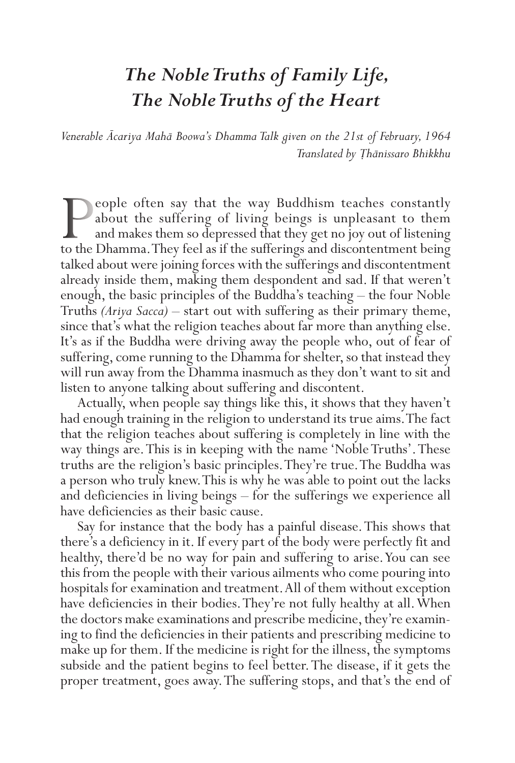## *The Noble Truths of Family Life, The Noble Truths of the Heart*

*Venerable Ācariya Mahā Boowa's Dhamma Talk given on the 21st of February, 1964 Translated by Ṭhānissaro Bhikkhu*

**People often say that the way Buddhism teaches constantly about the suffering of living beings is unpleasant to them** and makes them so depressed that they get no joy out of listening to the Dhamma. They feel as if the su about the suffering of living beings is unpleasant to them and makes them so depressed that they get no joy out of listening talked about were joining forces with the sufferings and discontentment already inside them, making them despondent and sad. If that weren't enough, the basic principles of the Buddha's teaching – the four Noble Truths *(Ariya Sacca)* – start out with suffering as their primary theme, since that's what the religion teaches about far more than anything else. It's as if the Buddha were driving away the people who, out of fear of suffering, come running to the Dhamma for shelter, so that instead they will run away from the Dhamma inasmuch as they don't want to sit and listen to anyone talking about suffering and discontent.

Actually, when people say things like this, it shows that they haven't had enough training in the religion to understand its true aims. The fact that the religion teaches about suffering is completely in line with the way things are. This is in keeping with the name 'Noble Truths'. These truths are the religion's basic principles. They're true. The Buddha was a person who truly knew. This is why he was able to point out the lacks and deficiencies in living beings – for the sufferings we experience all have deficiencies as their basic cause.

Say for instance that the body has a painful disease. This shows that there's a deficiency in it. If every part of the body were perfectly fit and healthy, there'd be no way for pain and suffering to arise. You can see this from the people with their various ailments who come pouring into hospitals for examination and treatment. All of them without exception have deficiencies in their bodies. They're not fully healthy at all. When the doctors make examinations and prescribe medicine, they're examining to find the deficiencies in their patients and prescribing medicine to make up for them. If the medicine is right for the illness, the symptoms subside and the patient begins to feel better. The disease, if it gets the proper treatment, goes away. The suffering stops, and that's the end of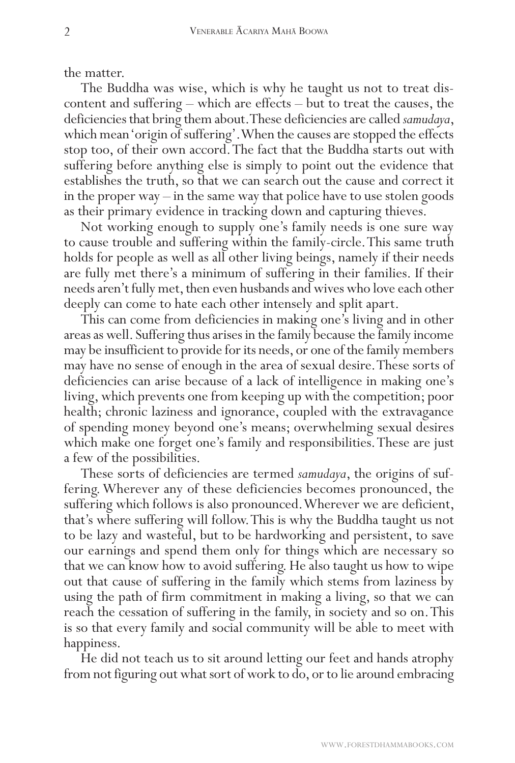the matter.<br>The Buddha was wise, which is why he taught us not to treat discontent and suffering – which are effects – but to treat the causes, the deficiencies that bring them about. These deficiencies are called *samudaya*, which mean 'origin of suffering'. When the causes are stopped the effects stop too, of their own accord. The fact that the Buddha starts out with suffering before anything else is simply to point out the evidence that establishes the truth, so that we can search out the cause and correct it in the proper way – in the same way that police have to use stolen goods as their primary evidence in tracking down and capturing thieves.

Not working enough to supply one's family needs is one sure way to cause trouble and suffering within the family-circle. This same truth holds for people as well as all other living beings, namely if their needs are fully met there's a minimum of suffering in their families. If their needs aren't fully met, then even husbands and wives who love each other deeply can come to hate each other intensely and split apart.

This can come from deficiencies in making one's living and in other areas as well. Suffering thus arises in the family because the family income may be insufficient to provide for its needs, or one of the family members may have no sense of enough in the area of sexual desire. These sorts of deficiencies can arise because of a lack of intelligence in making one's living, which prevents one from keeping up with the competition; poor health; chronic laziness and ignorance, coupled with the extravagance of spending money beyond one's means; overwhelming sexual desires which make one forget one's family and responsibilities. These are just a few of the possibilities.

These sorts of deficiencies are termed *samudaya*, the origins of suffering. Wherever any of these deficiencies becomes pronounced, the suffering which follows is also pronounced. Wherever we are deficient, that's where suffering will follow. This is why the Buddha taught us not to be lazy and wasteful, but to be hardworking and persistent, to save our earnings and spend them only for things which are necessary so that we can know how to avoid suffering. He also taught us how to wipe out that cause of suffering in the family which stems from laziness by using the path of firm commitment in making a living, so that we can reach the cessation of suffering in the family, in society and so on. This is so that every family and social community will be able to meet with happiness.

He did not teach us to sit around letting our feet and hands atrophy from not figuring out what sort of work to do, or to lie around embracing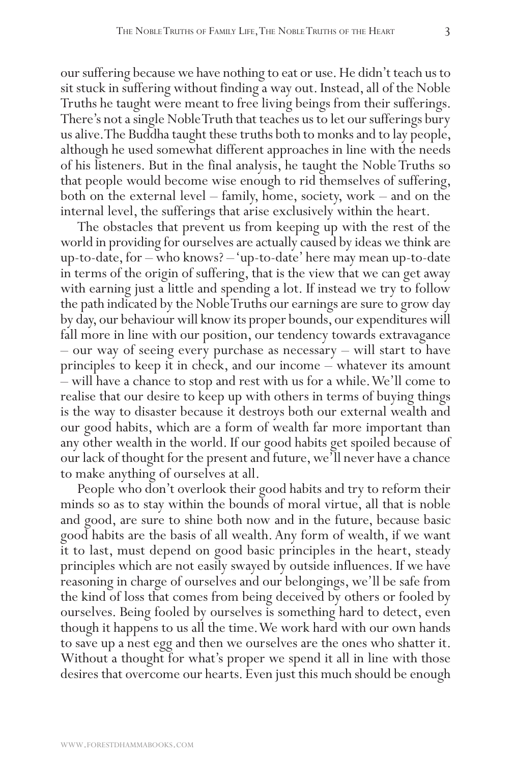our suffering because we have nothing to eat or use. He didn't teach us to sit stuck in suffering without finding a way out. Instead, all of the Noble Truths he taught were meant to free living beings from their sufferings. There's not a single Noble Truth that teaches us to let our sufferings bury us alive. The Buddha taught these truths both to monks and to lay people, although he used somewhat different approaches in line with the needs of his listeners. But in the final analysis, he taught the Noble Truths so that people would become wise enough to rid themselves of suffering, both on the external level – family, home, society, work – and on the internal level, the sufferings that arise exclusively within the heart.

The obstacles that prevent us from keeping up with the rest of the world in providing for ourselves are actually caused by ideas we think are up-to-date, for – who knows? – 'up-to-date' here may mean up-to-date in terms of the origin of suffering, that is the view that we can get away with earning just a little and spending a lot. If instead we try to follow the path indicated by the Noble Truths our earnings are sure to grow day by day, our behaviour will know its proper bounds, our expenditures will fall more in line with our position, our tendency towards extravagance – our way of seeing every purchase as necessary – will start to have principles to keep it in check, and our income – whatever its amount – will have a chance to stop and rest with us for a while. We'll come to realise that our desire to keep up with others in terms of buying things is the way to disaster because it destroys both our external wealth and our good habits, which are a form of wealth far more important than any other wealth in the world. If our good habits get spoiled because of our lack of thought for the present and future, we'll never have a chance to make anything of ourselves at all.

People who don't overlook their good habits and try to reform their minds so as to stay within the bounds of moral virtue, all that is noble and good, are sure to shine both now and in the future, because basic good habits are the basis of all wealth. Any form of wealth, if we want it to last, must depend on good basic principles in the heart, steady principles which are not easily swayed by outside influences. If we have reasoning in charge of ourselves and our belongings, we'll be safe from the kind of loss that comes from being deceived by others or fooled by ourselves. Being fooled by ourselves is something hard to detect, even though it happens to us all the time. We work hard with our own hands to save up a nest egg and then we ourselves are the ones who shatter it. Without a thought for what's proper we spend it all in line with those desires that overcome our hearts. Even just this much should be enough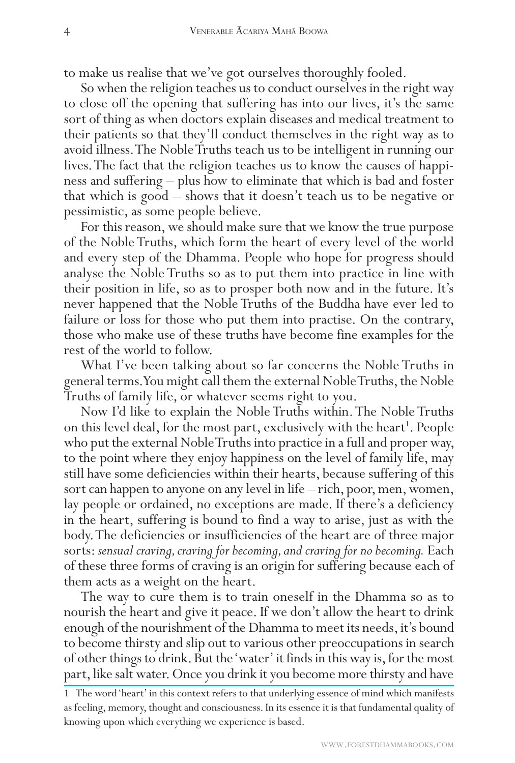to make us realise that we've got ourselves thoroughly fooled.

So when the religion teaches us to conduct ourselves in the right way to close off the opening that suffering has into our lives, it's the same sort of thing as when doctors explain diseases and medical treatment to their patients so that they'll conduct themselves in the right way as to avoid illness. The Noble Truths teach us to be intelligent in running our lives. The fact that the religion teaches us to know the causes of happiness and suffering – plus how to eliminate that which is bad and foster that which is good – shows that it doesn't teach us to be negative or pessimistic, as some people believe.

For this reason, we should make sure that we know the true purpose of the Noble Truths, which form the heart of every level of the world and every step of the Dhamma. People who hope for progress should analyse the Noble Truths so as to put them into practice in line with their position in life, so as to prosper both now and in the future. It's never happened that the Noble Truths of the Buddha have ever led to failure or loss for those who put them into practise. On the contrary, those who make use of these truths have become fine examples for the rest of the world to follow.

What I've been talking about so far concerns the Noble Truths in general terms. You might call them the external Noble Truths, the Noble Truths of family life, or whatever seems right to you.

Now I'd like to explain the Noble Truths within. The Noble Truths on this level deal, for the most part, exclusively with the heart<sup>1</sup>. People who put the external Noble Truths into practice in a full and proper way, to the point where they enjoy happiness on the level of family life, may still have some deficiencies within their hearts, because suffering of this sort can happen to anyone on any level in life – rich, poor, men, women, lay people or ordained, no exceptions are made. If there's a deficiency in the heart, suffering is bound to find a way to arise, just as with the body. The deficiencies or insufficiencies of the heart are of three major sorts: *sensual craving, craving for becoming, and craving for no becoming.* Each of these three forms of craving is an origin for suffering because each of them acts as a weight on the heart.

The way to cure them is to train oneself in the Dhamma so as to nourish the heart and give it peace. If we don't allow the heart to drink enough of the nourishment of the Dhamma to meet its needs, it's bound to become thirsty and slip out to various other preoccupations in search of other things to drink. But the 'water' it finds in this way is, for the most part, like salt water. Once you drink it you become more thirsty and have

<sup>1</sup> The word 'heart' in this context refers to that underlying essence of mind which manifests as feeling, memory, thought and consciousness. In its essence it is that fundamental quality of knowing upon which everything we experience is based.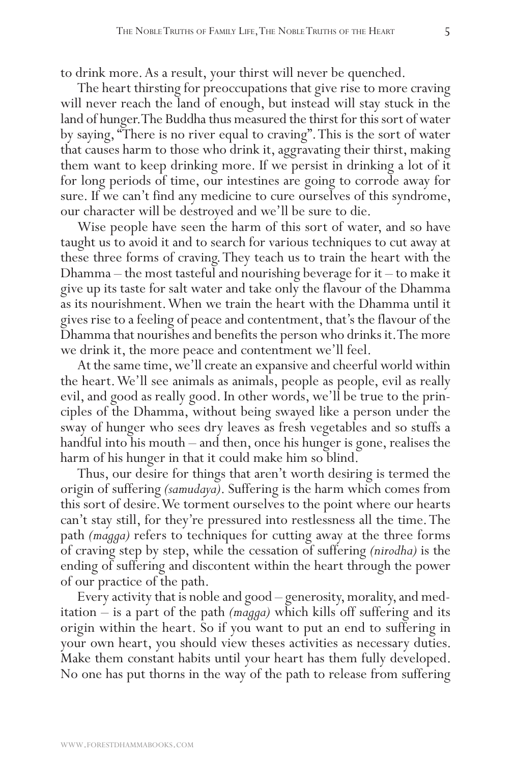to drink more. As a result, your thirst will never be quenched.

The heart thirsting for preoccupations that give rise to more craving will never reach the land of enough, but instead will stay stuck in the land of hunger. The Buddha thus measured the thirst for this sort of water by saying, "There is no river equal to craving". This is the sort of water that causes harm to those who drink it, aggravating their thirst, making them want to keep drinking more. If we persist in drinking a lot of it for long periods of time, our intestines are going to corrode away for sure. If we can't find any medicine to cure ourselves of this syndrome, our character will be destroyed and we'll be sure to die.

Wise people have seen the harm of this sort of water, and so have taught us to avoid it and to search for various techniques to cut away at these three forms of craving. They teach us to train the heart with the Dhamma – the most tasteful and nourishing beverage for it – to make it give up its taste for salt water and take only the flavour of the Dhamma as its nourishment. When we train the heart with the Dhamma until it gives rise to a feeling of peace and contentment, that's the flavour of the Dhamma that nourishes and benefits the person who drinks it. The more we drink it, the more peace and contentment we'll feel.

At the same time, we'll create an expansive and cheerful world within the heart. We'll see animals as animals, people as people, evil as really evil, and good as really good. In other words, we'll be true to the principles of the Dhamma, without being swayed like a person under the sway of hunger who sees dry leaves as fresh vegetables and so stuffs a handful into his mouth – and then, once his hunger is gone, realises the harm of his hunger in that it could make him so blind.

Thus, our desire for things that aren't worth desiring is termed the origin of suffering *(samudaya)*. Suffering is the harm which comes from this sort of desire. We torment ourselves to the point where our hearts can't stay still, for they're pressured into restlessness all the time. The path *(magga)* refers to techniques for cutting away at the three forms of craving step by step, while the cessation of suffering *(nirodha)* is the ending of suffering and discontent within the heart through the power of our practice of the path.

Every activity that is noble and good – generosity, morality, and meditation – is a part of the path *(magga)* which kills off suffering and its origin within the heart. So if you want to put an end to suffering in your own heart, you should view theses activities as necessary duties. Make them constant habits until your heart has them fully developed. No one has put thorns in the way of the path to release from suffering